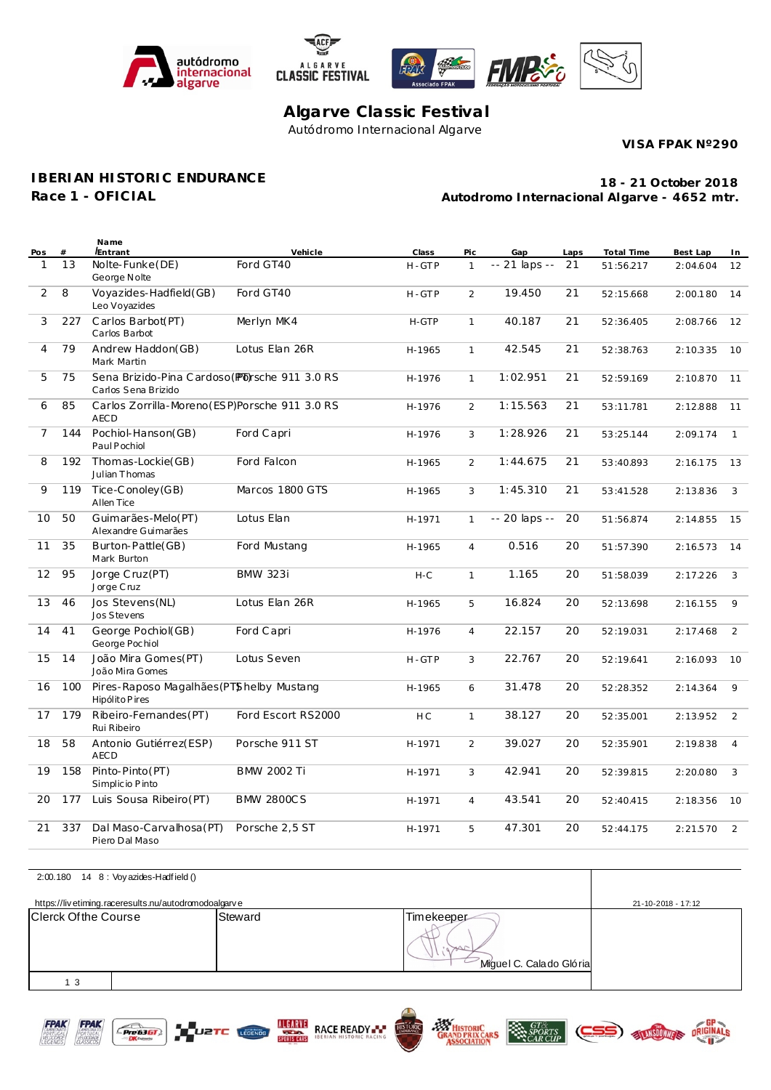





# **Algarve Classic Festival** Autódromo Internacional Algarve

**VISA FPAK Nº290**

### **IBERIAN HISTORIC ENDURANCE**

**Race 1 - OFICIAL**

**Autodromo Internacional Algarve - 4652 mtr. 18 - 21 October 2018**

| Pos            | #   | Name<br><i>Entrant</i>                                                | Vehicle            | Class          | Pic            | Gap           | Laps | Total Time | Best Lap | In.            |
|----------------|-----|-----------------------------------------------------------------------|--------------------|----------------|----------------|---------------|------|------------|----------|----------------|
| 1              | 13  | Nolte-Funke(DE)<br>George Nolte                                       | Ford GT40          | H-GTP          | $\mathbf{1}$   | -- 21 laps -- | 21   | 51:56.217  | 2:04.604 | 12             |
| $\overline{2}$ | 8   | Voyazides-Hadfield(GB)<br>Leo Voyazides                               | Ford GT40          | H-GTP          | $\overline{2}$ | 19.450        | 21   | 52:15.668  | 2:00.180 | 14             |
| 3              | 227 | Carlos Barbot(PT)<br>Carlos Barbot                                    | Merlyn MK4         | H-GTP          | $\mathbf{1}$   | 40.187        | 21   | 52:36.405  | 2:08.766 | 12             |
| 4              | 79  | Andrew Haddon(GB)<br>Mark Martin                                      | Lotus Elan 26R     | H-1965         | $\mathbf{1}$   | 42.545        | 21   | 52:38.763  | 2:10.335 | 10             |
| 5              | 75  | Sena Brizido-Pina Cardoso (Pb) sche 911 3.0 RS<br>Carlos Sena Brizido |                    | H-1976         | $\mathbf{1}$   | 1:02.951      | 21   | 52:59.169  | 2:10.870 | 11             |
| 6              | 85  | Carlos Zorrilla-Moreno (ESP)Porsche 911 3.0 RS<br><b>AECD</b>         |                    | H-1976         | $\overline{2}$ | 1:15.563      | 21   | 53:11.781  | 2:12.888 | 11             |
| 7              | 144 | Pochiol-Hanson(GB)<br>Paul Pochiol                                    | Ford Capri         | H-1976         | 3              | 1:28.926      | 21   | 53:25.144  | 2:09.174 | $\mathbf{1}$   |
| 8              | 192 | Thomas-Lockie(GB)<br>Julian Thomas                                    | Ford Falcon        | H-1965         | 2              | 1:44.675      | 21   | 53:40.893  | 2:16.175 | 13             |
| 9              | 119 | Tice-Conoley (GB)<br>Allen Tice                                       | Marcos 1800 GTS    | H-1965         | 3              | 1:45.310      | 21   | 53:41.528  | 2:13.836 | 3              |
| 10             | 50  | Guimarães-Melo(PT)<br>Alexandre Guimarães                             | Lotus Elan         | H-1971         | $\mathbf{1}$   | -- 20 laps -- | 20   | 51:56.874  | 2:14.855 | 15             |
| 11             | 35  | Burton-Pattle(GB)<br>Mark Burton                                      | Ford Mustang       | H-1965         | $\overline{4}$ | 0.516         | 20   | 51:57.390  | 2:16.573 | 14             |
| 12             | 95  | Jorge Cruz(PT)<br>Jorge Cruz                                          | <b>BMW 323i</b>    | $H-C$          | $\mathbf{1}$   | 1.165         | 20   | 51:58.039  | 2:17.226 | 3              |
| 13             | 46  | Jos Stevens (NL)<br>Jos Stevens                                       | Lotus Elan 26R     | H-1965         | 5              | 16.824        | 20   | 52:13.698  | 2:16.155 | 9              |
| 14             | 41  | George Pochiol(GB)<br>George Pochiol                                  | Ford Capri         | H-1976         | $\overline{4}$ | 22.157        | 20   | 52:19.031  | 2:17.468 | 2              |
| 15             | 14  | João Mira Gomes (PT)<br>João Mira Gomes                               | Lotus Seven        | H-GTP          | 3              | 22.767        | 20   | 52:19.641  | 2:16.093 | 10             |
| 16             | 100 | Pires-Raposo Magalhães (PTShelby Mustang<br>Hipólito Pires            |                    | H-1965         | 6              | 31.478        | 20   | 52:28.352  | 2:14.364 | 9              |
| 17             | 179 | Ribeiro-Fernandes(PT)<br>Rui Ribeiro                                  | Ford Escort RS2000 | H <sub>C</sub> | $\mathbf{1}$   | 38.127        | 20   | 52:35.001  | 2:13.952 | $\overline{2}$ |
| 18             | 58  | Antonio Gutiérrez(ESP)<br><b>AECD</b>                                 | Porsche 911 ST     | H-1971         | 2              | 39.027        | 20   | 52:35.901  | 2:19.838 | $\overline{4}$ |
| 19             | 158 | Pinto-Pinto (PT)<br>Simplic io P into                                 | <b>BMW 2002 Ti</b> | H-1971         | 3              | 42.941        | 20   | 52:39.815  | 2:20.080 | 3              |
| 20             | 177 | Luis Sousa Ribeiro (PT)                                               | <b>BMW 2800CS</b>  | H-1971         | $\overline{4}$ | 43.541        | 20   | 52:40.415  | 2:18.356 | 10             |
| 21             | 337 | Dal Maso-Carvalhosa (PT)<br>Piero Dal Maso                            | Porsche 2,5 ST     | H-1971         | 5              | 47.301        | 20   | 52:44.175  | 2:21.570 | 2              |

|                             | 2:00.180 14 8 : Voy azides-Hadfield ()               |         |                                       |                    |
|-----------------------------|------------------------------------------------------|---------|---------------------------------------|--------------------|
|                             | https://livetiming.raceresults.nu/autodromodoalgarve |         |                                       | 21-10-2018 - 17:12 |
| <b>Clerck Of the Course</b> |                                                      | Steward | Timekeeper<br>Miguel C. Calado Glória |                    |
| 3                           |                                                      |         |                                       |                    |



 $E$  Pre 6361





**EN SPORTS** 

**ARS** 

ELANSOOWNERS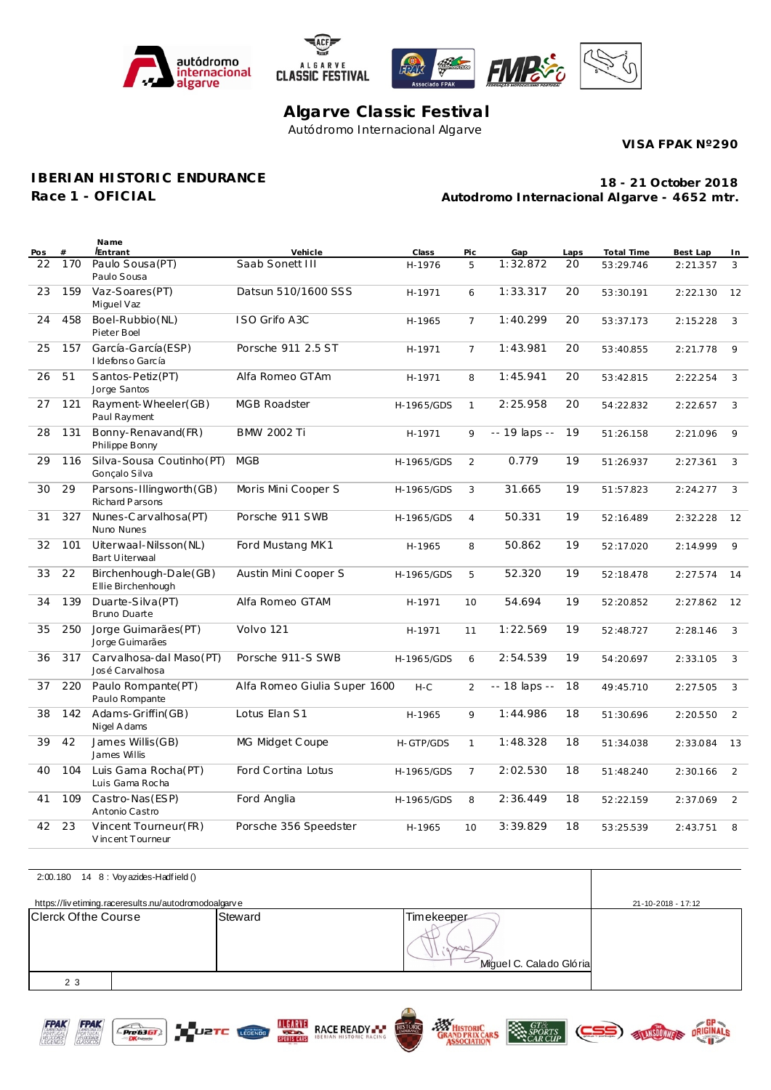





# **Algarve Classic Festival** Autódromo Internacional Algarve

**VISA FPAK Nº290**

### **IBERIAN HISTORIC ENDURANCE**

**Race 1 - OFICIAL**

**Autodromo Internacional Algarve - 4652 mtr. 18 - 21 October 2018**

| Pos | #   | Name<br><i>Entrant</i>                       | Vehicle                      | Class      | Pic            | Gap           | Laps | Total Time | Best Lap | In             |
|-----|-----|----------------------------------------------|------------------------------|------------|----------------|---------------|------|------------|----------|----------------|
| 22  | 170 | Paulo Sousa (PT)<br>Paulo Sousa              | Saab Sonett III              | H-1976     | 5              | 1:32.872      | 20   | 53:29.746  | 2:21.357 | 3              |
| 23  | 159 | Vaz-Soares (PT)<br>Miguel Vaz                | Datsun 510/1600 SSS          | H-1971     | 6              | 1:33.317      | 20   | 53:30.191  | 2:22.130 | 12             |
| 24  | 458 | Boel-Rubbio(NL)<br>Pieter Boel               | ISO Grifo A3C                | H-1965     | $\overline{7}$ | 1:40.299      | 20   | 53:37.173  | 2:15.228 | 3              |
| 25  | 157 | García-García (ESP)<br>I Idefonso García     | Porsche 911 2.5 ST           | H-1971     | $\overline{7}$ | 1:43.981      | 20   | 53:40.855  | 2:21.778 | 9              |
| 26  | 51  | Santos-Petiz(PT)<br>Jorge Santos             | Alfa Romeo GTAm              | H-1971     | 8              | 1:45.941      | 20   | 53:42.815  | 2:22.254 | 3              |
| 27  | 121 | Rayment-Wheeler(GB)<br>Paul Rayment          | <b>MGB Roadster</b>          | H-1965/GDS | $\mathbf{1}$   | 2:25.958      | 20   | 54:22.832  | 2:22.657 | 3              |
| 28  | 131 | Bonny-Renavand(FR)<br>Philippe Bonny         | <b>BMW 2002 Ti</b>           | H-1971     | 9              | -- 19 laps -- | 19   | 51:26.158  | 2:21.096 | 9              |
| 29  | 116 | Silva-Sousa Coutinho (PT)<br>Gonçalo Silva   | <b>MGB</b>                   | H-1965/GDS | 2              | 0.779         | 19   | 51:26.937  | 2:27.361 | 3              |
| 30  | 29  | Parsons-Illingworth (GB)<br>Richard Parsons  | Moris Mini Cooper S          | H-1965/GDS | 3              | 31.665        | 19   | 51:57.823  | 2:24.277 | 3              |
| 31  | 327 | Nunes-Carvalhosa(PT)<br>Nuno Nunes           | Porsche 911 SWB              | H-1965/GDS | $\overline{4}$ | 50.331        | 19   | 52:16.489  | 2:32.228 | 12             |
| 32  | 101 | Uiterwaal-Nilsson(NL)<br>Bart Uiterwaal      | Ford Mustang MK1             | H-1965     | 8              | 50.862        | 19   | 52:17.020  | 2:14.999 | 9              |
| 33  | 22  | Birchenhough-Dale (GB)<br>Ellie Birchenhough | Austin Mini Cooper S         | H-1965/GDS | 5              | 52.320        | 19   | 52:18.478  | 2:27.574 | 14             |
| 34  | 139 | Duarte-Silva (PT)<br><b>Bruno Duarte</b>     | Alfa Romeo GTAM              | H-1971     | 10             | 54.694        | 19   | 52:20.852  | 2:27.862 | 12             |
| 35  | 250 | Jorge Guimarães(PT)<br>Jorge Guimarães       | Volvo 121                    | H-1971     | 11             | 1:22.569      | 19   | 52:48.727  | 2:28.146 | 3              |
| 36  | 317 | Carvalhosa-dal Maso(PT)<br>José Carvalhosa   | Porsche 911-S SWB            | H-1965/GDS | 6              | 2:54.539      | 19   | 54:20.697  | 2:33.105 | 3              |
| 37  | 220 | Paulo Rompante(PT)<br>Paulo Rompante         | Alfa Romeo Giulia Super 1600 | $H-C$      | 2              | -- 18 laps -- | 18   | 49:45.710  | 2:27.505 | 3              |
| 38  | 142 | Adams-Griffin(GB)<br>Nigel A dams            | Lotus Elan S1                | H-1965     | 9              | 1:44.986      | 18   | 51:30.696  | 2:20.550 | $\overline{2}$ |
| 39  | 42  | James Willis (GB)<br>James Willis            | MG Midget Coupe              | H-GTP/GDS  | $\mathbf{1}$   | 1:48.328      | 18   | 51:34.038  | 2:33.084 | 13             |
| 40  | 104 | Luis Gama Rocha(PT)<br>Luis Gama Rocha       | Ford Cortina Lotus           | H-1965/GDS | $\overline{7}$ | 2:02.530      | 18   | 51:48.240  | 2:30.166 | 2              |
| 41  | 109 | Castro-Nas (ESP)<br>Antonio Castro           | Ford Anglia                  | H-1965/GDS | 8              | 2:36.449      | 18   | 52:22.159  | 2:37.069 | $\overline{2}$ |
| 42  | 23  | Vincent Tourneur(FR)<br>V incent Tourneur    | Porsche 356 Speedster        | H-1965     | 10             | 3:39.829      | 18   | 53:25.539  | 2:43.751 | 8              |

|                      | 2:00.180 14 8 : Voy azides-Hadfield ()               |         |                                       |                    |  |
|----------------------|------------------------------------------------------|---------|---------------------------------------|--------------------|--|
|                      | https://livetiming.raceresults.nu/autodromodoalgarve |         |                                       | 21-10-2018 - 17:12 |  |
| Clerck Of the Course |                                                      | Steward | Timekeeper<br>Miguel C. Calado Glória |                    |  |
| 2 3                  |                                                      |         |                                       |                    |  |



 $E$  Pre 6361





**EN GT&**<br>SPORTS

ELANSDOWNERS